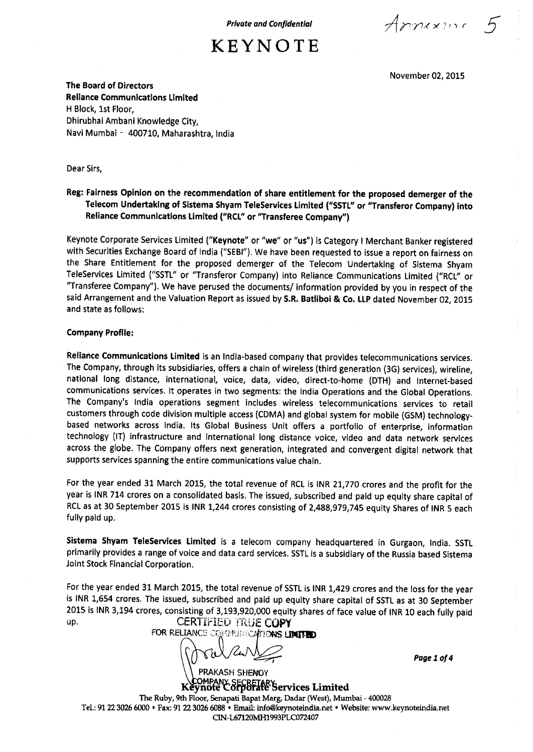**Private and Confidential**  $\overline{A}$   $\overline{C}$   $\overline{C}$   $\overline{C}$ 

November 02, 2015

**The Board of Directors Reliance Communications Limited** H Block, 1st Floor, Dhirubhai Ambani Knowledge City, Navi Mumbai - 400710, Maharashtra, India

Dear Sirs,

### **Reg: Fairness Opinion on the recommendation of share entitlement for the proposed demerger of the Telecom Undertaking of Sistema Shyam TeleServices Limited** ("SSTL" **or "Transferor Company) into Reliance Communications Limited** ("**RCL" or** "**Transferee Company")**

Keynote Corporate Services Limited ("Keynote" or "we" or "us") is Category I Merchant Banker registered with Securities Exchange Board of India ("SEBI"). We have been requested to issue a report on fairness on the Share Entitlement for the proposed demerger of the Telecom Undertaking of Sistema Shyam TeleServices Limited ("SSTL" or "Transferor Company) into Reliance Communications Limited ("RCL" or "Transferee Company"). We have perused the documents/ information provided by you in respect of the said Arrangement and the Valuation Report as issued by S.R. **Batliboi** & Co. LLP dated November 02, 2015 and state as follows:

#### **Company Profile:**

**Reliance Communications Limited** is an India-based company that provides telecommunications services. The Company, through its subsidiaries, offers a chain of wireless (third generation (3G) services), wireline, national long distance, international, voice, data, video, direct-to-home (DTH) and Internet-based communications services. It operates in two segments: the India Operations and the Global Operations. The Company's India operations segment includes wireless telecommunications services to retail customers through code division multiple access (CDMA) and global system for mobile (GSM) technologybased networks across India. Its Global Business Unit offers a portfolio of enterprise, information technology (IT) infrastructure and international long distance voice, video and data network services across the globe. The Company offers next generation, integrated and convergent digital network that supports services spanning the entire communications value chain.

For the year ended 31 March 2015, the total revenue of RCL is INR 21,770 crores and the profit for the year is INR 714 crores on a consolidated basis. The issued, subscribed and paid up equity share capital of RCL as at 30 September 2015 is INR 1,244 crores consisting of 2,488,979,745 equity Shares of INR 5 each fully paid up.

**Sistema Shyam TeleServices Limited** is a telecom company headquartered **in Gurgaon**, India. SSTL primarily provides **a range of** voice and data card services. SSTL is a subsidiary of the **Russia** based Sistema Joint Stock Financial Corporation.

For the year ended 31 March 2015, the total revenue of SSTL is INR 1,429 crores and the loss for the year is INR 1,654 crores. The issued, subscribed and paid up equity share capital of SSTL as at 30 September 2015 is INR 3,194 crores, consisting of 3,193,920,000 equity shares of face value of INR 10 each fully paid up. CERTIFIED TRUE COPY

**DELL'S OCCUPATION** FOR RELIANCE CONVIUNTIONS LIMITED

*Page 1 of 4*

Keynofe Co<del>rporate</del> Services Limited The Ruby, 9th Floor, Senapati Bapat Marg, Dadar (West), Mumbai - 400028 Tel.: 91 22 3026 6000 • Fax: 91 22 3026 6088 • Email: info@keynoteindia.net • Website: www.keynoteindia.net CIN-L67120MH1993PLC072407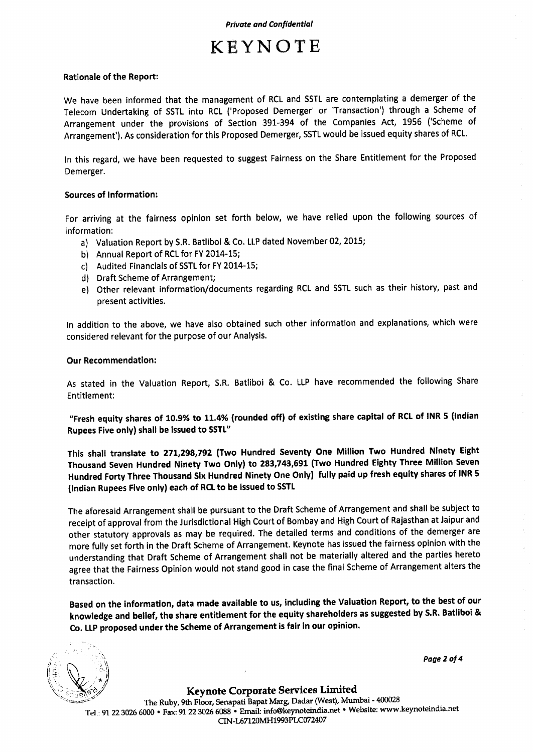#### **Rationale of the Report:**

We have been informed that the management of RCL and SSTL are contemplating a demerger of the Telecom Undertaking of SSTL into RCL ('Proposed Demerger' or 'Transaction') through a Scheme of Arrangement under the provisions of Section 391-394 of the Companies Act, 1956 ('Scheme of Arrangement'). As consideration for this Proposed Demerger, SSTL would be issued equity shares of RCL.

In this regard, we have been requested to suggest Fairness on the Share Entitlement for the Proposed Demerger.

#### **Sources of Information:**

For arriving at the fairness opinion set forth below, we have relied upon the following sources of information:

- a) Valuation Report by S.R. Batliboi & Co. LLP dated November 02, 2015;
- b) Annual Report of RCL for FY 2014-15;
- c) Audited Financials of SSTL for FY 2014-15;
- d) Draft Scheme of Arrangement;
- e) Other relevant information/documents regarding RCL and SSTL such as their history, past and present activities.

In addition to the above, we have also obtained such other information and explanations, which were considered relevant for the purpose of our Analysis.

#### **Our Recommendation:**

As stated in the Valuation Report, S.R. Batliboi & Co. LLP have recommended the following Share Entitlement:

**"Fresh equity shares of 10.9% to 11** .**4% (rounded off) of existing share capital of RCL of INR 5 (Indian Rupees Five only) shall be issued to SSTL"**

**This shall translate to 271**,**298,792 (Two Hundred Seventy One Million Two Hundred Ninety Eight Thousand Seven Hundred Ninety Two Only**) **to 283**,**743,691** (**Two Hundred Eighty Three Million Seven Hundred Forty Three Thousand Six Hundred Ninety One Only** ) **fully paid up fresh equity shares of INR 5 (Indian Rupees Five only) each of RCL to be issued to SSTL**

The aforesaid Arrangement shall be pursuant to the Draft Scheme of Arrangement **and shall be** subject to receipt of approval from the Jurisdictional High Court of Bombay and High Court **of Rajasthan** at Jaipur and other statutory approvals as may be required. The detailed terms and conditions of the demerger are more fully set forth in the Draft Scheme of Arrangement. Keynote has **issued** the fairness opinion with the understanding that Draft Scheme of Arrangement shall not be materially altered and the parties hereto agree that the Fairness Opinion would not stand good in case the final Scheme of Arrangement alters the transaction.

**Based on the information**, **data made available to us, including the Valuation Report, to the best of our knowledge and belief**, **the share entitlement** for the equity **shareholders as suggested** by S.R. **Batlibol &** Co. LIP **proposed under the Scheme of Arrangement is fair in our opinion.**



**Page 2 of 4**

Keynote Corporate **Services** Limited The Ruby, 9th Floor, **Senapati Bapat Marg, Dadar** (West), Mumbai - 400028 Tel.: 91 22 3026 6000 • Fax: 91 22 3026 **6088 • Email**: **info**Okeynoteindia.net • Website: www.keynoteindia.net CIN-L67120MH1993PLC072407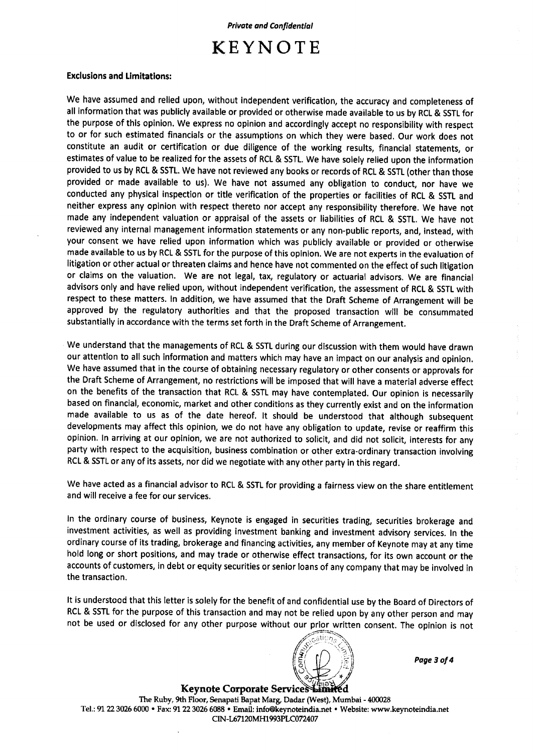#### **Exclusions and Limitations:**

We have assumed and relied upon, without independent verification, the accuracy and completeness of all information that was publicly available or provided or otherwise made available to us by RCL & SSTL for the purpose of this opinion. We express no opinion and accordingly accept no responsibility with respect to or for such estimated financials or the assumptions on which they were based. Our work does not constitute an audit or certification or due diligence of the working results, financial statements, or estimates of value to be realized for the assets of RCL & SSTL. We have solely relied upon the information provided to us by RCL & SSTL. We have not reviewed any books or records of RCL & SSTL (other than those provided or made available to us). We have not assumed any obligation to conduct, nor have we conducted any physical inspection or title verification of the properties or facilities of RCL & SSTL and neither express any opinion with respect thereto nor accept any responsibility therefore. We have not made any independent valuation or appraisal of the assets or liabilities of RCL & SSTL. We have not reviewed any internal management information statements or any non-public reports, and, instead, with your consent we have relied upon information which was publicly available or provided or otherwise made **available** to us by RCL & SSTL for the purpose of this opinion. We are not experts in the evaluation of litigation or other actual or threaten claims and hence have not commented on the effect of such litigation or claims on the valuation. We are not **legal, tax**, regulatory or actuarial advisors. We are financial advisors only and have relied upon, without independent verification, the assessment of RCL & SSTL with respect to these matters. In addition, we have assumed that the Draft Scheme of Arrangement will be approved by the regulatory authorities and that the proposed transaction will be consummated substantially in accordance with the terms set forth in the Draft Scheme of Arrangement.

We understand that the managements of RCL & SSTL during our discussion with them would have drawn our attention to all such information and matters which may have an impact on our analysis and opinion. We have assumed that in the course of obtaining necessary regulatory or other consents or approvals for the Draft Scheme of Arrangement, no restrictions will be imposed that will have a material adverse effect on the benefits of the transaction that RCL & SSTL may have contemplated. Our opinion is necessarily based on financial, economic, market and other conditions as they currently exist and on the information made available to us as of the date hereof. It should be understood that although subsequent developments may affect this opinion, we do not have any obligation to update, revise or reaffirm this opinion. In arriving at our opinion, we are not authorized to solicit, and did not solicit, interests for any party with respect to the acquisition, business combination or other extra-ordinary transaction involving RCL & SSTL or any of its assets, nor did we negotiate with any other party in this regard.

**We have acted as a financial advisor to** RCL & SSTL for **providing a fairness view on the share entitlement and will receive a fee for our services.**

In the ordinary course of business, Keynote is engaged in securities trading, securities brokerage and investment activities, as well as providing investment banking and investment advisory services. In the ordinary course of its trading, brokerage and financing activities, any member of Keynote may at any time hold long or short positions, and may trade or otherwise effect transactions, for its own account or the accounts of customers, in debt or equity securities or senior loans of any company that may be involved in the transaction.

It is understood that this letter is solely for the benefit of and confidential use by the Board of Directors of RCL & SSTL for the purpose of this transaction and may not be relied upon by any other person and may not be used or disclosed for any other purpose without our prior written consent. The opinion is not

**Keynote Corporate Service**

The Ruby, 9th Floor, Senapati Bapat Marg, Dadar (West), Mumbai - 400028 Tel.: 91 22 3026 6000 • Fax: 91 22 3026 6088 • Email: info@keynoteindia.net • Website: www.keynoteindia.net CIN-L67120MH1993PLC072407

C

**Page 3of4**